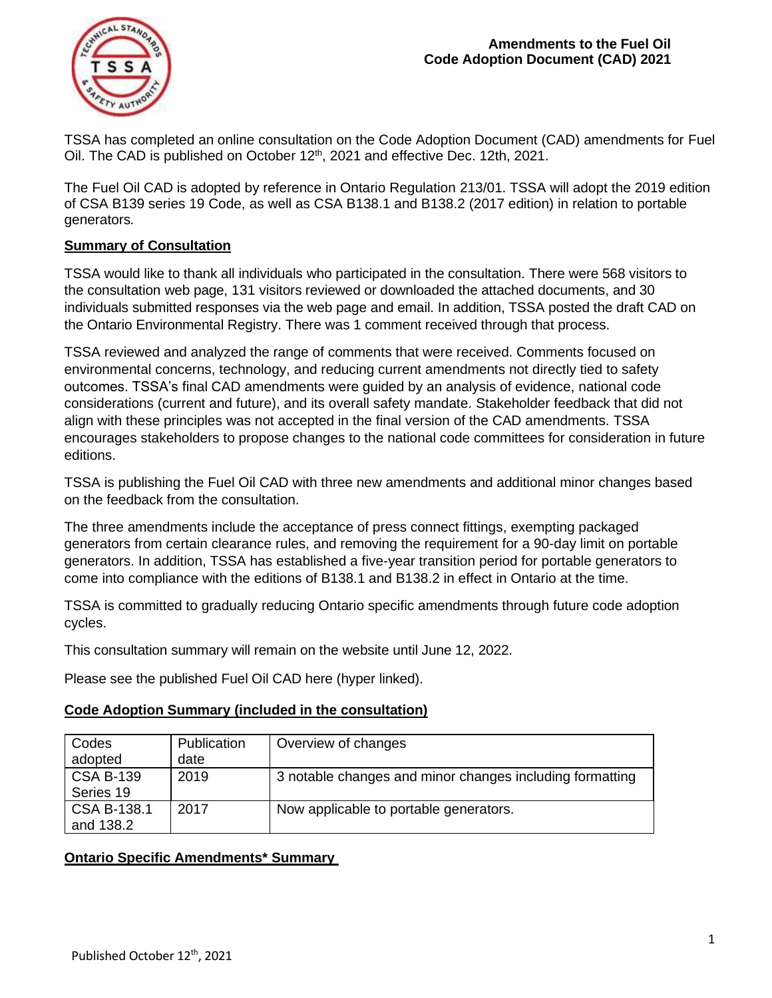

TSSA has completed an online consultation on the Code Adoption Document (CAD) amendments for Fuel Oil. The CAD is published on October 12<sup>th</sup>, 2021 and effective Dec. 12th, 2021.

The Fuel Oil CAD is adopted by reference in Ontario Regulation 213/01. TSSA will adopt the 2019 edition of CSA B139 series 19 Code, as well as CSA B138.1 and B138.2 (2017 edition) in relation to portable generators*.* 

## **Summary of Consultation**

TSSA would like to thank all individuals who participated in the consultation. There were 568 visitors to the consultation web page, 131 visitors reviewed or downloaded the attached documents, and 30 individuals submitted responses via the web page and email. In addition, TSSA posted the draft CAD on the Ontario Environmental Registry. There was 1 comment received through that process.

TSSA reviewed and analyzed the range of comments that were received. Comments focused on environmental concerns, technology, and reducing current amendments not directly tied to safety outcomes. TSSA's final CAD amendments were guided by an analysis of evidence, national code considerations (current and future), and its overall safety mandate. Stakeholder feedback that did not align with these principles was not accepted in the final version of the CAD amendments. TSSA encourages stakeholders to propose changes to the national code committees for consideration in future editions.

TSSA is publishing the Fuel Oil CAD with three new amendments and additional minor changes based on the feedback from the consultation.

The three amendments include the acceptance of press connect fittings, exempting packaged generators from certain clearance rules, and removing the requirement for a 90-day limit on portable generators. In addition, TSSA has established a five-year transition period for portable generators to come into compliance with the editions of B138.1 and B138.2 in effect in Ontario at the time.

TSSA is committed to gradually reducing Ontario specific amendments through future code adoption cycles.

This consultation summary will remain on the website until June 12, 2022.

Please see the published Fuel Oil CAD here (hyper linked).

| Codes<br>adopted              | Publication<br>date | Overview of changes                                      |
|-------------------------------|---------------------|----------------------------------------------------------|
| <b>CSA B-139</b><br>Series 19 | 2019                | 3 notable changes and minor changes including formatting |
| CSA B-138.1<br>and 138.2      | 2017                | Now applicable to portable generators.                   |

## **Code Adoption Summary (included in the consultation)**

## **Ontario Specific Amendments\* Summary**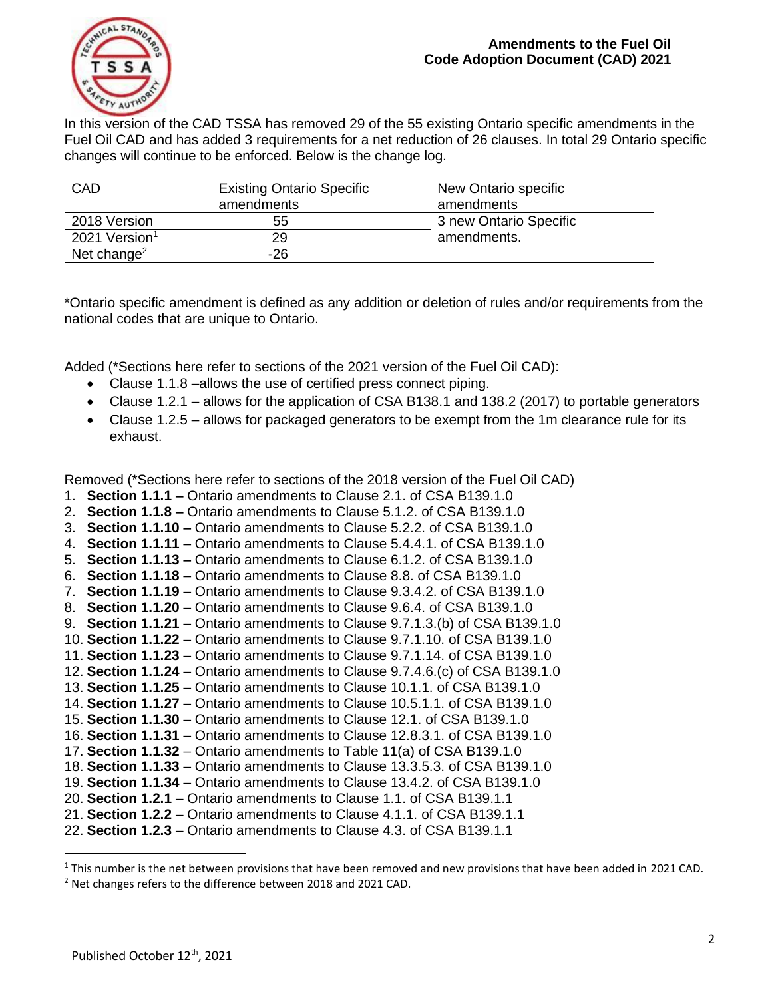

In this version of the CAD TSSA has removed 29 of the 55 existing Ontario specific amendments in the Fuel Oil CAD and has added 3 requirements for a net reduction of 26 clauses. In total 29 Ontario specific changes will continue to be enforced. Below is the change log.

| CAD                       | <b>Existing Ontario Specific</b> | New Ontario specific   |
|---------------------------|----------------------------------|------------------------|
|                           | amendments                       | amendments             |
| 2018 Version              | 55                               | 3 new Ontario Specific |
| 2021 Version <sup>1</sup> | 29                               | amendments.            |
| Net change <sup>2</sup>   | -26                              |                        |

\*Ontario specific amendment is defined as any addition or deletion of rules and/or requirements from the national codes that are unique to Ontario.

Added (\*Sections here refer to sections of the 2021 version of the Fuel Oil CAD):

- Clause 1.1.8 –allows the use of certified press connect piping.
- Clause 1.2.1 allows for the application of CSA B138.1 and 138.2 (2017) to portable generators
- Clause 1.2.5 allows for packaged generators to be exempt from the 1m clearance rule for its exhaust.

Removed (\*Sections here refer to sections of the 2018 version of the Fuel Oil CAD)

- 1. **Section 1.1.1 –** Ontario amendments to Clause 2.1. of CSA B139.1.0
- 2. **Section 1.1.8 –** Ontario amendments to Clause 5.1.2. of CSA B139.1.0
- 3. **Section 1.1.10 –** Ontario amendments to Clause 5.2.2. of CSA B139.1.0
- 4. **Section 1.1.11**  Ontario amendments to Clause 5.4.4.1. of CSA B139.1.0
- 5. **Section 1.1.13 –** Ontario amendments to Clause 6.1.2. of CSA B139.1.0
- 6. **Section 1.1.18** Ontario amendments to Clause 8.8. of CSA B139.1.0
- 7. **Section 1.1.19**  Ontario amendments to Clause 9.3.4.2. of CSA B139.1.0
- 8. **Section 1.1.20** Ontario amendments to Clause 9.6.4. of CSA B139.1.0
- 9. **Section 1.1.21** Ontario amendments to Clause 9.7.1.3.(b) of CSA B139.1.0
- 10. **Section 1.1.22** Ontario amendments to Clause 9.7.1.10. of CSA B139.1.0
- 11. **Section 1.1.23** Ontario amendments to Clause 9.7.1.14. of CSA B139.1.0
- 12. **Section 1.1.24** Ontario amendments to Clause 9.7.4.6.(c) of CSA B139.1.0
- 13. **Section 1.1.25** Ontario amendments to Clause 10.1.1. of CSA B139.1.0
- 14. **Section 1.1.27** Ontario amendments to Clause 10.5.1.1. of CSA B139.1.0
- 15. **Section 1.1.30** Ontario amendments to Clause 12.1. of CSA B139.1.0
- 16. **Section 1.1.31** Ontario amendments to Clause 12.8.3.1. of CSA B139.1.0
- 17. **Section 1.1.32** Ontario amendments to Table 11(a) of CSA B139.1.0
- 18. **Section 1.1.33** Ontario amendments to Clause 13.3.5.3. of CSA B139.1.0
- 19. **Section 1.1.34** Ontario amendments to Clause 13.4.2. of CSA B139.1.0
- 20. **Section 1.2.1** Ontario amendments to Clause 1.1. of CSA B139.1.1
- 21. **Section 1.2.2** Ontario amendments to Clause 4.1.1. of CSA B139.1.1
- 22. **Section 1.2.3** Ontario amendments to Clause 4.3. of CSA B139.1.1

<sup>&</sup>lt;sup>1</sup> This number is the net between provisions that have been removed and new provisions that have been added in 2021 CAD. <sup>2</sup> Net changes refers to the difference between 2018 and 2021 CAD.